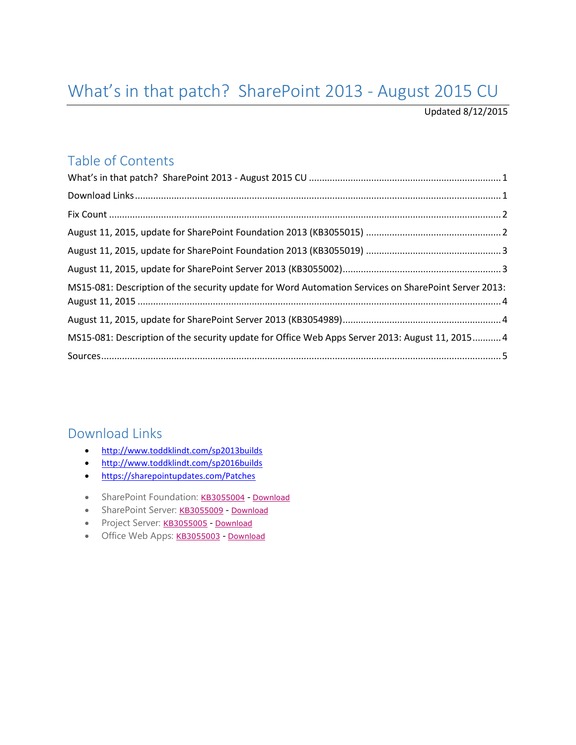# <span id="page-0-0"></span>What's in that patch? SharePoint 2013 - August 2015 CU

Updated 8/12/2015

#### Table of Contents

| MS15-081: Description of the security update for Word Automation Services on SharePoint Server 2013: |  |
|------------------------------------------------------------------------------------------------------|--|
|                                                                                                      |  |
| MS15-081: Description of the security update for Office Web Apps Server 2013: August 11, 2015 4      |  |
|                                                                                                      |  |

#### <span id="page-0-1"></span>Download Links

- <http://www.toddklindt.com/sp2013builds>
- <http://www.toddklindt.com/sp2016builds>
- <https://sharepointupdates.com/Patches>
- SharePoint Foundation: [KB3055004](http://support.microsoft.com/kb/3055004) [Download](http://www.microsoft.com/en-us/download/details.aspx?id=48521)
- SharePoint Server: [KB3055009](http://support.microsoft.com/KB/3055009) [Download](http://www.microsoft.com/en-us/download/details.aspx?id=48560)
- Project Server: [KB3055005](http://support.microsoft.com/kb/3055005) [Download](http://www.microsoft.com/en-us/download/details.aspx?id=48545)
- Office Web Apps: [KB3055003](http://support.microsoft.com/KB/3055003) [Download](http://www.microsoft.com/en-us/download/details.aspx?id=48494)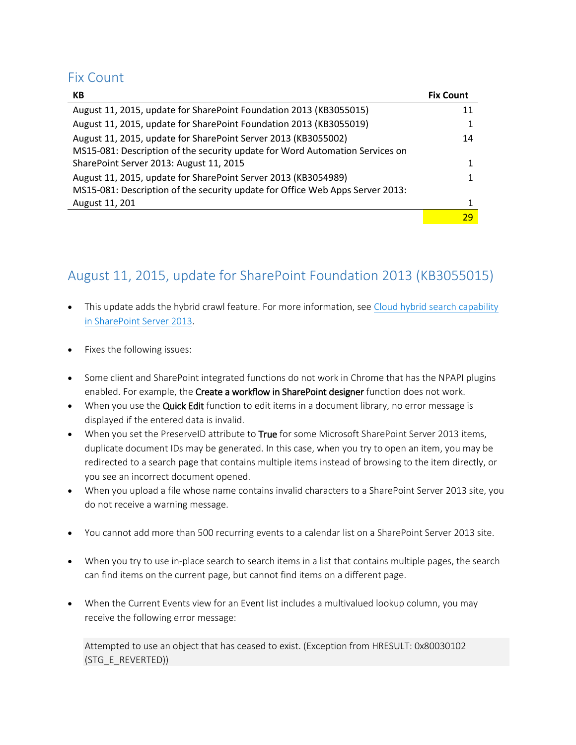#### <span id="page-1-0"></span>Fix Count

| КB                                                                            | <b>Fix Count</b> |
|-------------------------------------------------------------------------------|------------------|
| August 11, 2015, update for SharePoint Foundation 2013 (KB3055015)            | 11               |
| August 11, 2015, update for SharePoint Foundation 2013 (KB3055019)            |                  |
| August 11, 2015, update for SharePoint Server 2013 (KB3055002)                | 14               |
| MS15-081: Description of the security update for Word Automation Services on  |                  |
| SharePoint Server 2013: August 11, 2015                                       |                  |
| August 11, 2015, update for SharePoint Server 2013 (KB3054989)                |                  |
| MS15-081: Description of the security update for Office Web Apps Server 2013: |                  |
| August 11, 201                                                                |                  |
|                                                                               | 29               |

### <span id="page-1-1"></span>August 11, 2015, update for SharePoint Foundation 2013 (KB3055015)

- This update adds the hybrid crawl feature. For more information, see Cloud hybrid search capability [in SharePoint Server 2013.](https://support.microsoft.com/en-us/kb/3080169)
- Fixes the following issues:
- Some client and SharePoint integrated functions do not work in Chrome that has the NPAPI plugins enabled. For example, the Create a workflow in SharePoint designer function does not work.
- When you use the Quick Edit function to edit items in a document library, no error message is displayed if the entered data is invalid.
- When you set the PreserveID attribute to True for some Microsoft SharePoint Server 2013 items, duplicate document IDs may be generated. In this case, when you try to open an item, you may be redirected to a search page that contains multiple items instead of browsing to the item directly, or you see an incorrect document opened.
- When you upload a file whose name contains invalid characters to a SharePoint Server 2013 site, you do not receive a warning message.
- You cannot add more than 500 recurring events to a calendar list on a SharePoint Server 2013 site.
- When you try to use in-place search to search items in a list that contains multiple pages, the search can find items on the current page, but cannot find items on a different page.
- When the Current Events view for an Event list includes a multivalued lookup column, you may receive the following error message:

Attempted to use an object that has ceased to exist. (Exception from HRESULT: 0x80030102 (STG\_E\_REVERTED))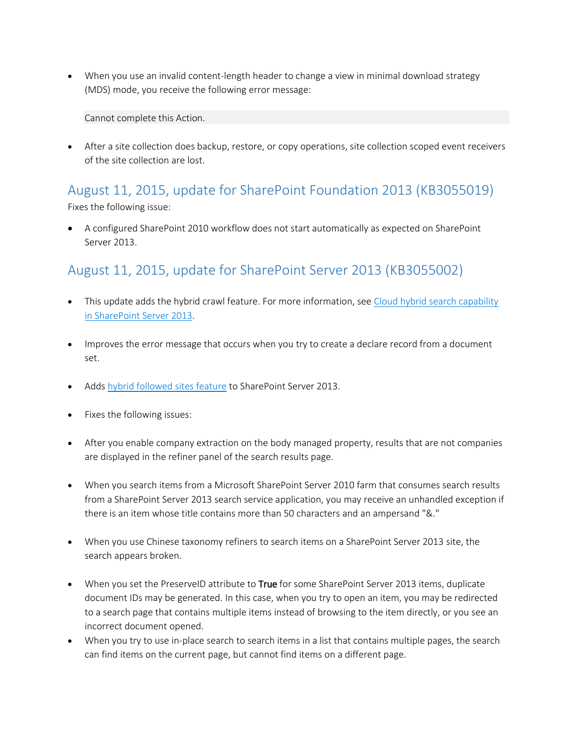When you use an invalid content-length header to change a view in minimal download strategy (MDS) mode, you receive the following error message:

Cannot complete this Action.

 After a site collection does backup, restore, or copy operations, site collection scoped event receivers of the site collection are lost.

# <span id="page-2-0"></span>August 11, 2015, update for SharePoint Foundation 2013 (KB3055019)

Fixes the following issue:

 A configured SharePoint 2010 workflow does not start automatically as expected on SharePoint Server 2013.

### <span id="page-2-1"></span>August 11, 2015, update for SharePoint Server 2013 (KB3055002)

- This update adds the hybrid crawl feature. For more information, see [Cloud hybrid search capability](https://support.microsoft.com/en-us/kb/3080169)  [in SharePoint Server 2013.](https://support.microsoft.com/en-us/kb/3080169)
- Improves the error message that occurs when you try to create a declare record from a document set.
- Adds [hybrid followed sites feature](http://go.microsoft.com/fwlink/?LinkID=529553) to SharePoint Server 2013.
- Fixes the following issues:
- After you enable company extraction on the body managed property, results that are not companies are displayed in the refiner panel of the search results page.
- When you search items from a Microsoft SharePoint Server 2010 farm that consumes search results from a SharePoint Server 2013 search service application, you may receive an unhandled exception if there is an item whose title contains more than 50 characters and an ampersand "&."
- When you use Chinese taxonomy refiners to search items on a SharePoint Server 2013 site, the search appears broken.
- When you set the PreserveID attribute to True for some SharePoint Server 2013 items, duplicate document IDs may be generated. In this case, when you try to open an item, you may be redirected to a search page that contains multiple items instead of browsing to the item directly, or you see an incorrect document opened.
- When you try to use in-place search to search items in a list that contains multiple pages, the search can find items on the current page, but cannot find items on a different page.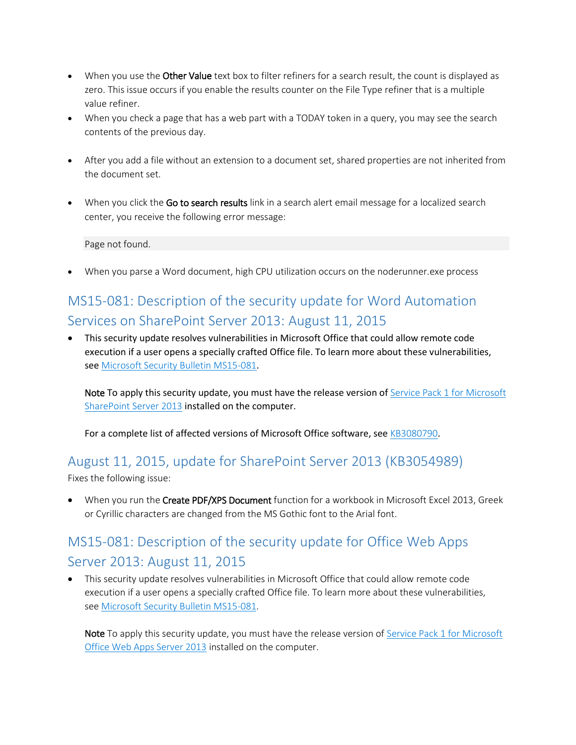- When you use the Other Value text box to filter refiners for a search result, the count is displayed as zero. This issue occurs if you enable the results counter on the File Type refiner that is a multiple value refiner.
- When you check a page that has a web part with a TODAY token in a query, you may see the search contents of the previous day.
- After you add a file without an extension to a document set, shared properties are not inherited from the document set.
- When you click the Go to search results link in a search alert email message for a localized search center, you receive the following error message:

Page not found.

When you parse a Word document, high CPU utilization occurs on the noderunner.exe process

## <span id="page-3-0"></span>MS15-081: Description of the security update for Word Automation Services on SharePoint Server 2013: August 11, 2015

 This security update resolves vulnerabilities in Microsoft Office that could allow remote code execution if a user opens a specially crafted Office file. To learn more about these vulnerabilities, see [Microsoft Security Bulletin MS15-081](https://technet.microsoft.com/library/security/MS15-081).

Note To apply this security update, you must have the release version of Service Pack 1 for Microsoft [SharePoint Server 2013](https://support.microsoft.com/en-us/kb/2880552) installed on the computer.

For a complete list of affected versions of Microsoft Office software, see [KB3080790](https://support.microsoft.com/en-us/kb/3080790).

# <span id="page-3-1"></span>August 11, 2015, update for SharePoint Server 2013 (KB3054989)

Fixes the following issue:

• When you run the Create PDF/XPS Document function for a workbook in Microsoft Excel 2013, Greek or Cyrillic characters are changed from the MS Gothic font to the Arial font.

### <span id="page-3-2"></span>MS15-081: Description of the security update for Office Web Apps Server 2013: August 11, 2015

 This security update resolves vulnerabilities in Microsoft Office that could allow remote code execution if a user opens a specially crafted Office file. To learn more about these vulnerabilities, see [Microsoft Security Bulletin MS15-081.](https://technet.microsoft.com/library/security/MS15-081)

Note To apply this security update, you must have the release version of Service Pack 1 for Microsoft [Office Web Apps Server 2013](https://support.microsoft.com/en-us/kb/2880558) installed on the computer.